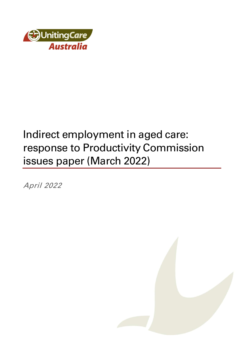

# Indirect employment in aged care: response to Productivity Commission issues paper (March 2022)

April 2022

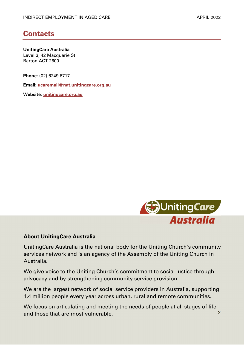# **Contacts**

UnitingCare Australia Level 3, 42 Macquarie St. Barton ACT 2600

Phone: (02) 6249 6717

Email: ucaremail@nat.unitingcare.org.au

Website: unitingcare.org.au



#### About UnitingCare Australia

UnitingCare Australia is the national body for the Uniting Church's community services network and is an agency of the Assembly of the Uniting Church in Australia.

We give voice to the Uniting Church's commitment to social justice through advocacy and by strengthening community service provision.

We are the largest network of social service providers in Australia, supporting 1.4 million people every year across urban, rural and remote communities.

2 We focus on articulating and meeting the needs of people at all stages of life and those that are most vulnerable.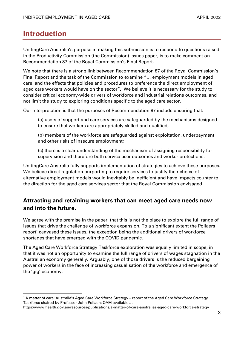# Introduction

UnitingCare Australia's purpose in making this submission is to respond to questions raised in the Productivity Commission (the Commission) issues paper, is to make comment on Recommendation 87 of the Royal Commission's Final Report.

We note that there is a strong link between Recommendation 87 of the Royal Commission's Final Report and the task of the Commission to examine "… employment models in aged care, and the effects that policies and procedures to preference the direct employment of aged care workers would have on the sector". We believe it is necessary for the study to consider critical economy-wide drivers of workforce and industrial relations outcomes, and not limit the study to exploring conditions specific to the aged care sector.

Our interpretation is that the purposes of Recommendation 87 include ensuring that:

(a) users of support and care services are safeguarded by the mechanisms designed to ensure that workers are appropriately skilled and qualified;

(b) members of the workforce are safeguarded against exploitation, underpayment and other risks of insecure employment;

(c) there is a clear understanding of the mechanism of assigning responsibility for supervision and therefore both service user outcomes and worker protections.

UnitingCare Australia fully supports implementation of strategies to achieve these purposes. We believe direct regulation purporting to require services to justify their choice of alternative employment models would inevitably be inefficient and have impacts counter to the direction for the aged care services sector that the Royal Commission envisaged.

# Attracting and retaining workers that can meet aged care needs now and into the future.

We agree with the premise in the paper, that this is not the place to explore the full range of issues that drive the challenge of workforce expansion. To a significant extent the Pollaers report<sup>1</sup> canvased these issues, the exception being the additional drivers of workforce shortages that have emerged with the COVID pandemic.

The Aged Care Workforce Strategy Taskforce exploration was equally limited in scope, in that it was not an opportunity to examine the full range of drivers of wages stagnation in the Australian economy generally. Arguably, one of those drivers is the reduced bargaining power of workers in the face of increasing casualisation of the workforce and emergence of the 'gig' economy.

<sup>1</sup> A matter of care: Australia's Aged Care Workforce Strategy – report of the Aged Care Workforce Strategy Taskforce chaired by Professor John Pollaers OAM available at

https://www.health.gov.au/resources/publications/a-matter-of-care-australias-aged-care-workforce-strategy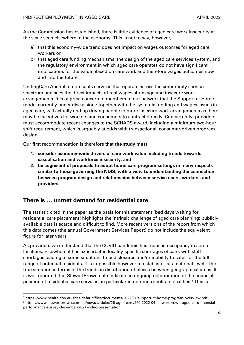As the Commission has established, there is little evidence of aged care work insecurity at the scale seen elsewhere in the economy. This is not to say, however,

- a) that this economy-wide trend does not impact on wages outcomes for aged care workers or
- b) that aged care funding mechanisms, the design of the aged care services system, and the regulatory environment in which aged care operates do not have significant implications for the value placed on care work and therefore wages outcomes now and into the future.

UnitingCare Australia represents services that operate across the community services spectrum and sees the direct impacts of real wages shrinkage and insecure work arrangements. It is of great concern to members of our network that the Support at Home  $\mu$  model currently under discussion,<sup>2</sup> together with the systemic funding and wages issues in aged care, will actually end up driving people to more insecure work arrangements as there may be incentives for workers and consumers to contract directly. Concurrently, providers must accommodate recent changes to the SCHADS award, including a minimum two-hour shift requirement, which is arguably at odds with transactional, consumer-driven program design.

Our first recommendation is therefore that the study must:

- 1. consider economy-wide drivers of care work value including trends towards casualisation and workforce insecurity; and
- 2. be cognisant of proposals to adopt home care program settings in many respects similar to those governing the NDIS, with a view to understanding the connection between program design and relationships between service users, workers, and providers.

#### There is … unmet demand for residential care

The statistic cited in the paper as the basis for this statement [bed days waiting for residential care placement] highlights the intrinsic challenge of aged care planning: publicly available data is scarce and difficult to find. More recent versions of the report from which this data comes (the annual Government Services Report) do not include the equivalent figure for later years.

As providers we understand that the COVID pandemic has reduced occupancy in some localities. Elsewhere it has exacerbated locality-specific shortages of care, with staff shortages leading in some situations to bed closures and/or inability to cater for the full range of potential residents. It is impossible however to establish – at a national level – the true situation in terms of the trends in distribution of places between geographical areas. It is well reported that StewartBrown data indicate an ongoing deterioration of the financial position of residential care services, in particular in non-metropolitan localities.<sup>3</sup> This is

<sup>2</sup> https://www.health.gov.au/sites/default/files/documents/2022/01/support-at-home-program-overview.pdf 3 https://www.stewartbrown.com.au/news-articles/26-aged-care/260-2022-04-stewartbrown-aged-care-financialperformance-survey-december-2021-video-presentation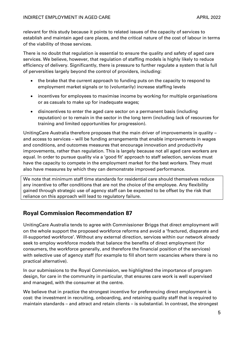relevant for this study because it points to related issues of the capacity of services to establish and maintain aged care places, and the critical nature of the cost of labour in terms of the viability of those services.

There is no doubt that regulation is essential to ensure the quality and safety of aged care services. We believe, however, that regulation of staffing models is highly likely to reduce efficiency of delivery. Significantly, there is pressure to further regulate a system that is full of perversities largely beyond the control of providers, including:

- the brake that the current approach to funding puts on the capacity to respond to employment market signals or to (voluntarily) increase staffing levels
- incentives for employees to maximise income by working for multiple organisations or as casuals to make up for inadequate wages;
- disincentives to enter the aged care sector on a permanent basis (including reputation) or to remain in the sector in the long term (including lack of resources for training and limited opportunities for progression).

UnitingCare Australia therefore proposes that the main driver of improvements in quality – and access to services – will be funding arrangements that enable improvements in wages and conditions, and outcomes measures that encourage innovation and productivity improvements, rather than regulation. This is largely because not all aged care workers are equal. In order to pursue quality via a 'good fit' approach to staff selection, services must have the capacity to compete in the employment market for the best workers. They must also have measures by which they can demonstrate improved performance.

We note that minimum staff time standards for residential care should themselves reduce any incentive to offer conditions that are not the choice of the employee. Any flexibility gained through strategic use of agency staff can be expected to be offset by the risk that reliance on this approach will lead to regulatory failure.

# Royal Commission Recommendation 87

UnitingCare Australia tends to agree with Commissioner Briggs that direct employment will on the whole support the proposed workforce reforms and avoid a 'fractured, disparate and ill-supported workforce'. Without any external direction, services within our network already seek to employ workforce models that balance the benefits of direct employment (for consumers, the workforce generally, and therefore the financial position of the services) with selective use of agency staff (for example to fill short term vacancies where there is no practical alternative).

In our submissions to the Royal Commission, we highlighted the importance of program design, for care in the community in particular, that ensures care work is well supervised and managed, with the consumer at the centre.

We believe that in practice the strongest incentive for preferencing direct employment is cost: the investment in recruiting, onboarding, and retaining quality staff that is required to maintain standards – and attract and retain clients – is substantial. In contrast, the strongest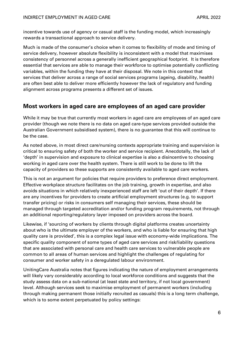incentive towards use of agency or casual staff is the funding model, which increasingly rewards a transactional approach to service delivery.

Much is made of the consumer's choice when it comes to flexibility of mode and timing of service delivery, however absolute flexibility is inconsistent with a model that maximises consistency of personnel across a generally inefficient geographical footprint. It is therefore essential that services are able to manage their workforce to optimise potentially conflicting variables, within the funding they have at their disposal. We note in this context that services that deliver across a range of social services programs (ageing, disability, health) are often best able to deliver more efficiently however the lack of regulatory and funding alignment across programs presents a different set of issues.

## Most workers in aged care are employees of an aged care provider

While it may be true that currently most workers in aged care are employees of an aged care provider (though we note there is no data on aged care-type services provided outside the Australian Government subsidised system), there is no guarantee that this will continue to be the case.

As noted above, in most direct care/nursing contexts appropriate training and supervision is critical to ensuring safety of both the worker and service recipient. Anecdotally, the lack of 'depth' in supervision and exposure to clinical expertise is also a disincentive to choosing working in aged care over the health system. There is still work to be done to lift the capacity of providers so these supports are consistently available to aged care workers.

This is not an argument for policies that require providers to preference direct employment. Effective workplace structure facilitates on the job training, growth in expertise, and also avoids situations in which relatively inexperienced staff are left 'out of their depth'. If there are any incentives for providers to create artificial employment structures (e.g. to support transfer pricing) or risks in consumers self managing their services, these should be managed through targeted accreditation and/or funding program requirements, not through an additional reporting/regulatory layer imposed on providers across the board.

Likewise, if 'sourcing of workers by clients through digital platforms creates uncertainty about who is the ultimate employer of the workers, and who is liable for ensuring that high quality care is provided', this is a complex legal issue with economy-wide implications. The specific quality component of some types of aged care services and risk/liability questions that are associated with personal care and health care services to vulnerable people are common to all areas of human services and highlight the challenges of regulating for consumer and worker safety in a deregulated labour environment.

UnitingCare Australia notes that figures indicating the nature of employment arrangements will likely vary considerably according to local workforce conditions and suggests that the study assess data on a sub-national (at least state and territory, if not local government) level. Although services seek to maximise employment of permanent workers (including through making permanent those initially recruited as casuals) this is a long term challenge, which is to some extent perpetuated by policy settings: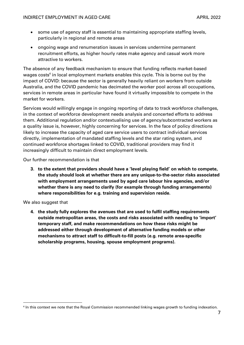- some use of agency staff is essential to maintaining appropriate staffing levels, particularly in regional and remote areas
- ongoing wage and renumeration issues in services undermine permanent recruitment efforts, as higher hourly rates make agency and casual work more attractive to workers.

The absence of any feedback mechanism to ensure that funding reflects market-based wages costs<sup>4</sup> in local employment markets enables this cycle. This is borne out by the impact of COVID: because the sector is generally heavily reliant on workers from outside Australia, and the COVID pandemic has decimated the worker pool across all occupations, services in remote areas in particular have found it virtually impossible to compete in the market for workers.

Services would willingly engage in ongoing reporting of data to track workforce challenges, in the context of workforce development needs analysis and concerted efforts to address them. Additional regulation and/or contextualising use of agency/subcontracted workers as a quality issue is, however, highly concerning for services. In the face of policy directions likely to increase the capacity of aged care service users to contract individual services directly, implementation of mandated staffing levels and the star rating system, and continued workforce shortages linked to COVID, traditional providers may find it increasingly difficult to maintain direct employment levels.

Our further recommendation is that

3. to the extent that providers should have a 'level playing field' on which to compete, the study should look at whether there are any unique-to-the-sector risks associated with employment arrangements used by aged care labour hire agencies, and/or whether there is any need to clarify (for example through funding arrangements) where responsibilities for e.g. training and supervision reside.

We also suggest that

4. the study fully explores the avenues that are used to fulfil staffing requirements outside metropolitan areas, the costs and risks associated with needing to 'import' temporary staff, and make recommendations on how these risks might be addressed either through development of alternative funding models or other mechanisms to attract staff to difficult-to-fill posts (e.g. remote area-specific scholarship programs, housing, spouse employment programs).

<sup>4</sup> In this context we note that the Royal Commission recommended linking wages growth to funding indexation.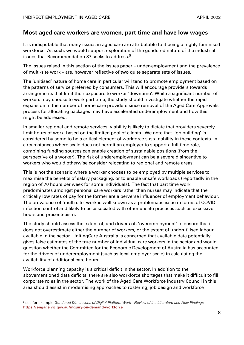#### Most aged care workers are women, part time and have low wages

It is indisputable that many issues in aged care are attributable to it being a highly feminised workforce. As such, we would support exploration of the gendered nature of the industrial issues that Recommendation 87 seeks to address.<sup>5</sup>

The issues raised in this section of the issues paper – under-employment and the prevalence of multi-site work – are, however reflective of two quite separate sets of issues.

The 'unitised' nature of home care in particular will tend to promote employment based on the patterns of service preferred by consumers. This will encourage providers towards arrangements that limit their exposure to worker 'downtime'. While a significant number of workers may choose to work part time, the study should investigate whether the rapid expansion in the number of home care providers since removal of the Aged Care Approvals process for allocating packages may have accelerated underemployment and how this might be addressed.

In smaller regional and remote services, viability is likely to dictate that providers severely limit hours of work, based on the limited pool of clients. We note that 'job building' is considered by some to be a critical element of workforce sustainability in these contexts. In circumstances where scale does not permit an employer to support a full time role, combining funding sources can enable creation of sustainable positions (from the perspective of a worker). The risk of underemployment can be a severe disincentive to workers who would otherwise consider relocating to regional and remote areas.

This is not the scenario where a worker chooses to be employed by multiple services to maximise the benefits of salary packaging, or to enable unsafe workloads (reportedly in the region of 70 hours per week for some individuals). The fact that part time work predominates amongst personal care workers rather than nurses may indicate that the critically low rates of pay for the former are a perverse influencer of employment behaviour. The prevalence of 'multi site' work is well known as a problematic issue in terms of COVID infection control and likely to be associated with other unsafe practices such as excessive hours and presenteeism.

The study should assess the extent of, and drivers of, 'overemployment' to ensure that it does not overestimate either the number of workers, or the extent of underutilised labour available in the sector. UnitingCare Australia is concerned that available data potentially gives false estimates of the true number of individual care workers in the sector and would question whether the Committee for the Economic Development of Australia has accounted for the drivers of underemployment (such as local employer scale) in calculating the availability of additional care hours.

Workforce planning capacity is a critical deficit in the sector. In addition to the abovementioned data deficits, there are also workforce shortages that make it difficult to fill corporate roles in the sector. The work of the Aged Care Workforce Industry Council in this area should assist in modernising approaches to rostering, job design and workforce

<sup>&</sup>lt;sup>5</sup> see for example Gendered Dimensions of Digital Platform Work - Review of the Literature and New Findings https://engage.vic.gov.au/inquiry-on-demand-workforce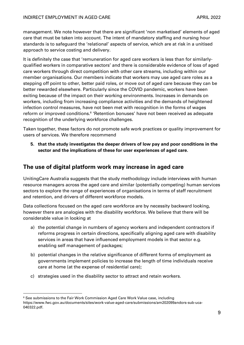management. We note however that there are significant 'non marketised' elements of aged care that must be taken into account. The intent of mandatory staffing and nursing hour standards is to safeguard the 'relational' aspects of service, which are at risk in a unitised approach to service costing and delivery.

It is definitely the case that 'remuneration for aged care workers is less than for similarlyqualified workers in comparative sectors' and there is considerable evidence of loss of aged care workers through direct competition with other care streams, including within our member organisations. Our members indicate that workers may use aged care roles as a stepping off point to other, better paid roles, or move out of aged care because they can be better rewarded elsewhere. Particularly since the COVID pandemic, workers have been exiting because of the impact on their working environments. Increases in demands on workers, including from increasing compliance activities and the demands of heightened infection control measures, have not been met with recognition in the forms of wages reform or improved conditions.<sup>6</sup> 'Retention bonuses' have not been received as adequate recognition of the underlying workforce challenges.

Taken together, these factors do not promote safe work practices or quality improvement for users of services. We therefore recommend

5. that the study investigates the deeper drivers of low pay and poor conditions in the sector and the implications of these for user experiences of aged care.

### The use of digital platform work may increase in aged care

UnitingCare Australia suggests that the study methodology include interviews with human resource managers across the aged care and similar (potentially competing) human services sectors to explore the range of experiences of organisations in terms of staff recruitment and retention, and drivers of different workforce models.

Data collections focused on the aged care workforce are by necessity backward looking, however there are analogies with the disability workforce. We believe that there will be considerable value in looking at

- a) the potential change in numbers of agency workers and independent contractors if reforms progress in certain directions, specifically aligning aged care with disability services in areas that have influenced employment models in that sector e.g. enabling self management of packages;
- b) potential changes in the relative significance of different forms of employment as governments implement policies to increase the length of time individuals receive care at home (at the expense of residential care);
- c) strategies used in the disability sector to attract and retain workers.

 $^6$  See submissions to the Fair Work Commission Aged Care Work Value case, including https://www.fwc.gov.au/documents/sites/work-value-aged-care/submissions/am202099andors-sub-uca-040322.pdf.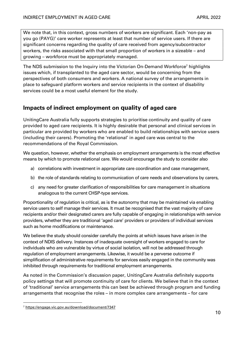We note that, in this context, gross numbers of workers are significant. Each 'non-pay as you go (PAYG)' care worker represents at least that number of service users. If there are significant concerns regarding the quality of care received from agency/subcontractor workers, the risks associated with that small proportion of workers in a sizeable – and growing – workforce must be appropriately managed.

The NDS submission to the Inquiry into the Victorian On-Demand Workforce<sup>7</sup> highlights issues which, if transplanted to the aged care sector, would be concerning from the perspectives of both consumers and workers. A national survey of the arrangements in place to safeguard platform workers and service recipients in the context of disability services could be a most useful element for the study.

### Impacts of indirect employment on quality of aged care

UnitingCare Australia fully supports strategies to prioritise continuity and quality of care provided to aged care recipients. It is highly desirable that personal and clinical services in particular are provided by workers who are enabled to build relationships with service users (including their carers). Promoting the 'relational' in aged care was central to the recommendations of the Royal Commission.

We question, however, whether the emphasis on employment arrangements is the most effective means by which to promote relational care. We would encourage the study to consider also

- a) correlations with investment in appropriate care coordination and case management,
- b) the role of standards relating to communication of care needs and observations by carers,
- c) any need for greater clarification of responsibilities for care management in situations analogous to the current CHSP-type services.

Proportionality of regulation is critical, as is the autonomy that may be maintained via enabling service users to self manage their services. It must be recognised that the vast majority of care recipients and/or their designated carers are fully capable of engaging in relationships with service providers, whether they are traditional 'aged care' providers or providers of individual services such as home modifications or maintenance.

We believe the study should consider carefully the points at which issues have arisen in the context of NDIS delivery. Instances of inadequate oversight of workers engaged to care for individuals who are vulnerable by virtue of social isolation, will not be addressed through regulation of employment arrangements. Likewise, it would be a perverse outcome if simplification of administrative requirements for services easily engaged in the community was inhibited through requirements for traditional employment arrangements.

As noted in the Commission's discussion paper, UnitingCare Australia definitely supports policy settings that will promote continuity of care for clients. We believe that in the context of 'traditional' service arrangements this can best be achieved through program and funding arrangements that recognise the roles – in more complex care arrangements – for care

<sup>7</sup> https://engage.vic.gov.au/download/document/7347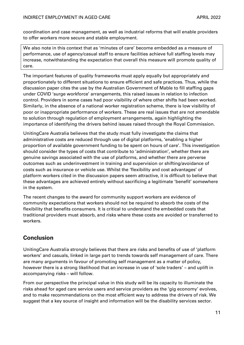coordination and case management, as well as industrial reforms that will enable providers to offer workers more secure and stable employment.

We also note in this context that as 'minutes of care' become embedded as a measure of performance, use of agency/casual staff to ensure facilities achieve full staffing levels may increase, notwithstanding the expectation that overall this measure will promote quality of care.

The important features of quality frameworks must apply equally but appropriately and proportionately to different situations to ensure efficient and safe practices. Thus, while the discussion paper cites the use by the Australian Government of Mable to fill staffing gaps under COVID 'surge workforce' arrangements, this raised issues in relation to infection control. Providers in some cases had poor visibility of where other shifts had been worked. Similarly, in the absence of a national worker registration scheme, there is low visibility of poor or inappropriate performance of workers. These are real issues that are not amendable to solution through regulation of employment arrangements, again highlighting the importance of identifying the drivers behind issues raised through the Royal Commission.

UnitingCare Australia believes that the study must fully investigate the claims that administrative costs are reduced through use of digital platforms, 'enabling a higher proportion of available government funding to be spent on hours of care'. This investigation should consider the types of costs that contribute to 'administration', whether there are genuine savings associated with the use of platforms, and whether there are perverse outcomes such as underinvestment in training and supervision or shifting/avoidance of costs such as insurance or vehicle use. Whilst the 'flexibility and cost advantages' of platform workers cited in the discussion papers seem attractive, it is difficult to believe that these advantages are achieved entirely without sacrificing a legitimate 'benefit' somewhere in the system.

The recent changes to the award for community support workers are evidence of community expectations that workers should not be required to absorb the costs of the flexibility that benefits consumers. It is critical to understand the embedded costs that traditional providers must absorb, and risks where these costs are avoided or transferred to workers.

# Conclusion

UnitingCare Australia strongly believes that there are risks and benefits of use of 'platform workers' and casuals, linked in large part to trends towards self management of care. There are many arguments in favour of promoting self management as a matter of policy, however there is a strong likelihood that an increase in use of 'sole traders' – and uplift in accompanying risks – will follow.

From our perspective the principal value in this study will be its capacity to illuminate the risks ahead for aged care service users and service providers as the 'gig economy' evolves, and to make recommendations on the most efficient way to address the drivers of risk. We suggest that a key source of insight and information will be the disability services sector.